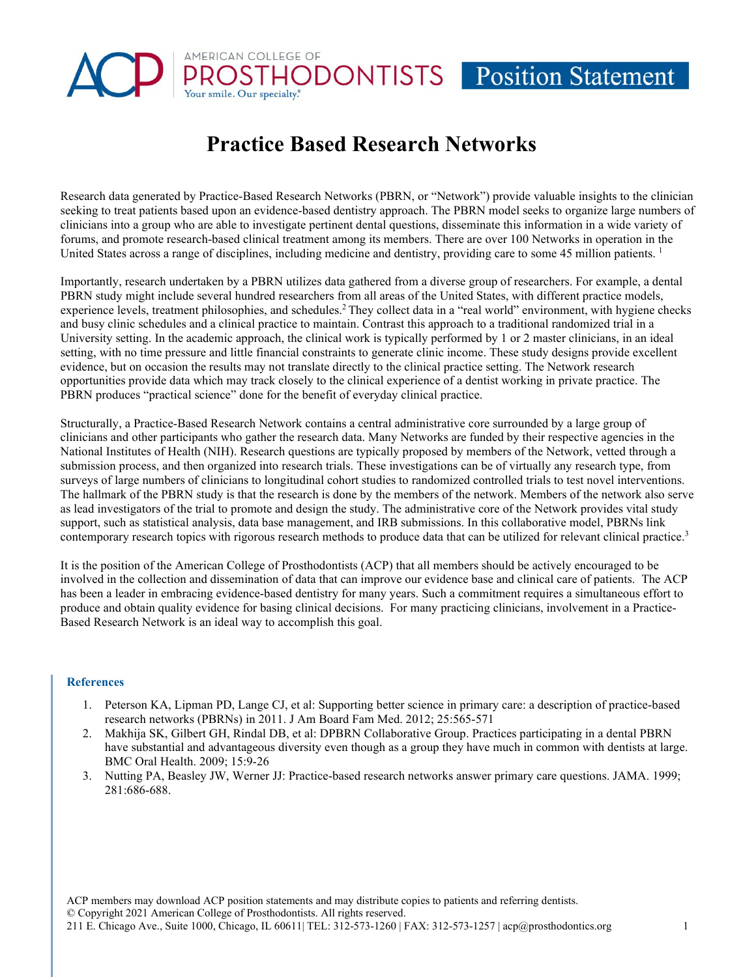## AMERICAN COLLEGE OF HODONTISTS Position Statement

## **Practice Based Research Networks**

Research data generated by Practice-Based Research Networks (PBRN, or "Network") provide valuable insights to the clinician seeking to treat patients based upon an evidence-based dentistry approach. The PBRN model seeks to organize large numbers of clinicians into a group who are able to investigate pertinent dental questions, disseminate this information in a wide variety of forums, and promote research-based clinical treatment among its members. There are over 100 Networks in operation in the United States across a range of disciplines, including medicine and dentistry, providing care to some 45 million patients.<sup>1</sup>

Importantly, research undertaken by a PBRN utilizes data gathered from a diverse group of researchers. For example, a dental PBRN study might include several hundred researchers from all areas of the United States, with different practice models, experience levels, treatment philosophies, and schedules.<sup>2</sup> They collect data in a "real world" environment, with hygiene checks and busy clinic schedules and a clinical practice to maintain. Contrast this approach to a traditional randomized trial in a University setting. In the academic approach, the clinical work is typically performed by 1 or 2 master clinicians, in an ideal setting, with no time pressure and little financial constraints to generate clinic income. These study designs provide excellent evidence, but on occasion the results may not translate directly to the clinical practice setting. The Network research opportunities provide data which may track closely to the clinical experience of a dentist working in private practice. The PBRN produces "practical science" done for the benefit of everyday clinical practice.

Structurally, a Practice-Based Research Network contains a central administrative core surrounded by a large group of clinicians and other participants who gather the research data. Many Networks are funded by their respective agencies in the National Institutes of Health (NIH). Research questions are typically proposed by members of the Network, vetted through a submission process, and then organized into research trials. These investigations can be of virtually any research type, from surveys of large numbers of clinicians to longitudinal cohort studies to randomized controlled trials to test novel interventions. The hallmark of the PBRN study is that the research is done by the members of the network. Members of the network also serve as lead investigators of the trial to promote and design the study. The administrative core of the Network provides vital study support, such as statistical analysis, data base management, and IRB submissions. In this collaborative model, PBRNs link contemporary research topics with rigorous research methods to produce data that can be utilized for relevant clinical practice.<sup>3</sup>

It is the position of the American College of Prosthodontists (ACP) that all members should be actively encouraged to be involved in the collection and dissemination of data that can improve our evidence base and clinical care of patients. The ACP has been a leader in embracing evidence-based dentistry for many years. Such a commitment requires a simultaneous effort to produce and obtain quality evidence for basing clinical decisions. For many practicing clinicians, involvement in a Practice-Based Research Network is an ideal way to accomplish this goal.

## **References**

- 1. Peterson KA, Lipman PD, Lange CJ, et al: Supporting better science in primary care: a description of practice-based research networks (PBRNs) in 2011. J Am Board Fam Med. 2012; 25:565-571
- 2. Makhija SK, Gilbert GH, Rindal DB, et al: DPBRN Collaborative Group. Practices participating in a dental PBRN have substantial and advantageous diversity even though as a group they have much in common with dentists at large. BMC Oral Health. 2009; 15:9-26
- 3. Nutting PA, Beasley JW, Werner JJ: Practice-based research networks answer primary care questions. JAMA. 1999; 281:686-688.

ACP members may download ACP position statements and may distribute copies to patients and referring dentists. © Copyright 2021 American College of Prosthodontists. All rights reserved. 211 E. Chicago Ave., Suite 1000, Chicago, IL 60611| TEL: 312-573-1260 | FAX: 312-573-1257 [| acp@prosthodontics.org](mailto:acp@prosthodontics.org) 1